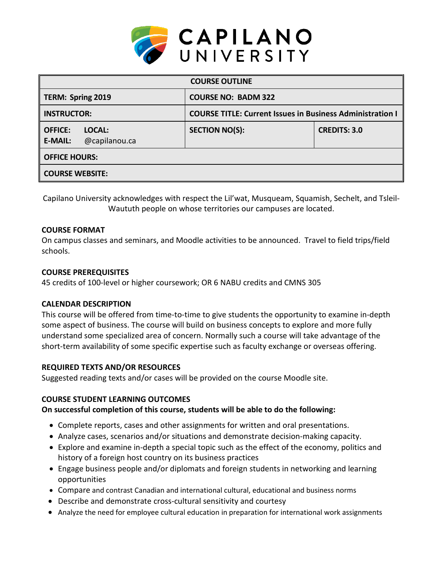

| <b>COURSE OUTLINE</b>                                       |                                                                  |                     |  |  |  |
|-------------------------------------------------------------|------------------------------------------------------------------|---------------------|--|--|--|
| TERM: Spring 2019                                           | <b>COURSE NO: BADM 322</b>                                       |                     |  |  |  |
| <b>INSTRUCTOR:</b>                                          | <b>COURSE TITLE: Current Issues in Business Administration I</b> |                     |  |  |  |
| <b>OFFICE:</b><br>LOCAL:<br>@capilanou.ca<br><b>E-MAIL:</b> | <b>SECTION NO(S):</b>                                            | <b>CREDITS: 3.0</b> |  |  |  |
| <b>OFFICE HOURS:</b>                                        |                                                                  |                     |  |  |  |
| <b>COURSE WEBSITE:</b>                                      |                                                                  |                     |  |  |  |

Capilano University acknowledges with respect the Lil'wat, Musqueam, Squamish, Sechelt, and Tsleil-Waututh people on whose territories our campuses are located.

### **COURSE FORMAT**

On campus classes and seminars, and Moodle activities to be announced. Travel to field trips/field schools.

### **COURSE PREREQUISITES**

45 credits of 100-level or higher coursework; OR 6 NABU credits and CMNS 305

## **CALENDAR DESCRIPTION**

This course will be offered from time-to-time to give students the opportunity to examine in-depth some aspect of business. The course will build on business concepts to explore and more fully understand some specialized area of concern. Normally such a course will take advantage of the short-term availability of some specific expertise such as faculty exchange or overseas offering.

### **REQUIRED TEXTS AND/OR RESOURCES**

Suggested reading texts and/or cases will be provided on the course Moodle site.

### **COURSE STUDENT LEARNING OUTCOMES**

### **On successful completion of this course, students will be able to do the following:**

- Complete reports, cases and other assignments for written and oral presentations.
- Analyze cases, scenarios and/or situations and demonstrate decision-making capacity.
- Explore and examine in-depth a special topic such as the effect of the economy, politics and history of a foreign host country on its business practices
- Engage business people and/or diplomats and foreign students in networking and learning opportunities
- Compare and contrast Canadian and international cultural, educational and business norms
- Describe and demonstrate cross-cultural sensitivity and courtesy
- Analyze the need for employee cultural education in preparation for international work assignments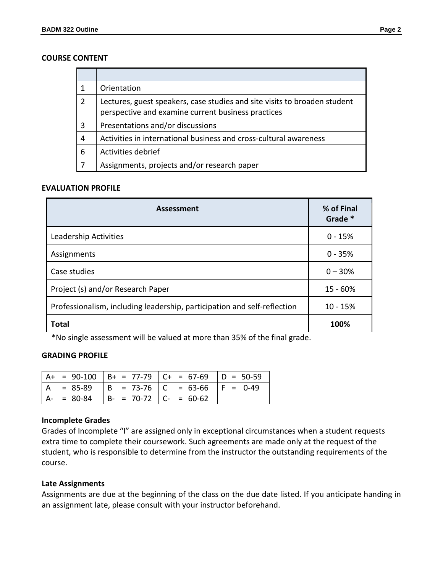#### **COURSE CONTENT**

|                | Orientation                                                                                                                     |
|----------------|---------------------------------------------------------------------------------------------------------------------------------|
| $\overline{2}$ | Lectures, guest speakers, case studies and site visits to broaden student<br>perspective and examine current business practices |
| 3              | Presentations and/or discussions                                                                                                |
| 4              | Activities in international business and cross-cultural awareness                                                               |
| 6              | Activities debrief                                                                                                              |
|                | Assignments, projects and/or research paper                                                                                     |

### **EVALUATION PROFILE**

| <b>Assessment</b>                                                        | % of Final<br>Grade * |
|--------------------------------------------------------------------------|-----------------------|
| Leadership Activities                                                    | $0 - 15%$             |
| Assignments                                                              | $0 - 35%$             |
| Case studies                                                             | $0 - 30%$             |
| Project (s) and/or Research Paper                                        | $15 - 60%$            |
| Professionalism, including leadership, participation and self-reflection | $10 - 15%$            |
| <b>Total</b>                                                             | 100%                  |

\*No single assessment will be valued at more than 35% of the final grade.

#### **GRADING PROFILE**

|    |             |                             | $A+ = 90-100$ $B+ = 77-79$ $C+ = 67-69$ $D = 50-59$ |  |
|----|-------------|-----------------------------|-----------------------------------------------------|--|
| ΙA |             |                             | $= 85-89$   B = 73-76   C = 63-66   F = 0-49        |  |
|    | $A - 80-84$ | $ B- = 70-72$ $ C- = 60-62$ |                                                     |  |

#### **Incomplete Grades**

Grades of Incomplete "I" are assigned only in exceptional circumstances when a student requests extra time to complete their coursework. Such agreements are made only at the request of the student, who is responsible to determine from the instructor the outstanding requirements of the course.

#### **Late Assignments**

Assignments are due at the beginning of the class on the due date listed. If you anticipate handing in an assignment late, please consult with your instructor beforehand.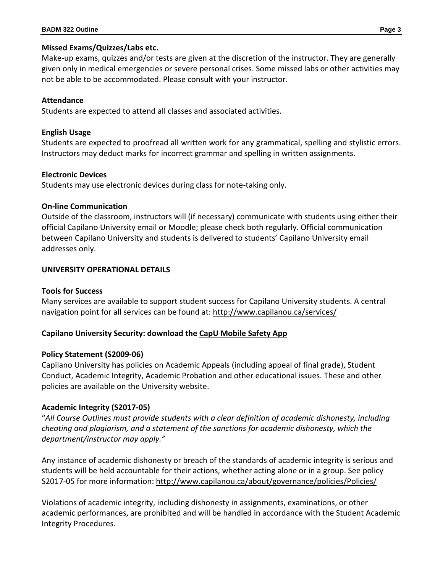## **Missed Exams/Quizzes/Labs etc.**

Make-up exams, quizzes and/or tests are given at the discretion of the instructor. They are generally given only in medical emergencies or severe personal crises. Some missed labs or other activities may not be able to be accommodated. Please consult with your instructor.

## **Attendance**

Students are expected to attend all classes and associated activities.

## **English Usage**

Students are expected to proofread all written work for any grammatical, spelling and stylistic errors. Instructors may deduct marks for incorrect grammar and spelling in written assignments.

## **Electronic Devices**

Students may use electronic devices during class for note-taking only.

## **On-line Communication**

Outside of the classroom, instructors will (if necessary) communicate with students using either their official Capilano University email or Moodle; please check both regularly. Official communication between Capilano University and students is delivered to students' Capilano University email addresses only.

# **UNIVERSITY OPERATIONAL DETAILS**

# **Tools for Success**

Many services are available to support student success for Capilano University students. A central navigation point for all services can be found at:<http://www.capilanou.ca/services/>

# **Capilano University Security: download the [CapU Mobile Safety App](https://www.capilanou.ca/services/safety-security/CapU-Mobile-Safety-App/)**

# **Policy Statement (S2009-06)**

Capilano University has policies on Academic Appeals (including appeal of final grade), Student Conduct, Academic Integrity, Academic Probation and other educational issues. These and other policies are available on the University website.

# **Academic Integrity (S2017-05)**

"*All Course Outlines must provide students with a clear definition of academic dishonesty, including cheating and plagiarism, and a statement of the sanctions for academic dishonesty, which the department/instructor may apply."*

Any instance of academic dishonesty or breach of the standards of academic integrity is serious and students will be held accountable for their actions, whether acting alone or in a group. See policy S2017-05 for more information: <http://www.capilanou.ca/about/governance/policies/Policies/>

Violations of academic integrity, including dishonesty in assignments, examinations, or other academic performances, are prohibited and will be handled in accordance with the Student Academic Integrity Procedures.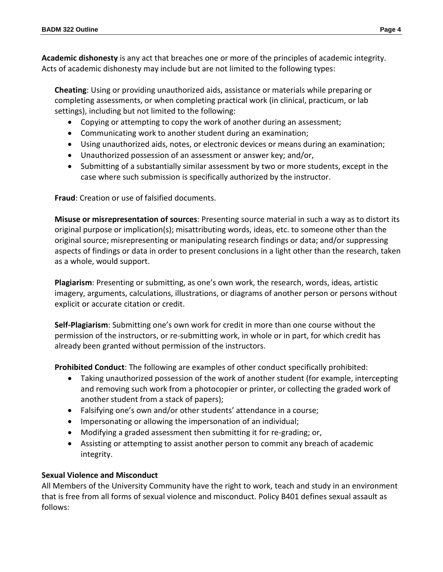**Academic dishonesty** is any act that breaches one or more of the principles of academic integrity. Acts of academic dishonesty may include but are not limited to the following types:

**Cheating**: Using or providing unauthorized aids, assistance or materials while preparing or completing assessments, or when completing practical work (in clinical, practicum, or lab settings), including but not limited to the following:

- Copying or attempting to copy the work of another during an assessment;
- Communicating work to another student during an examination;
- Using unauthorized aids, notes, or electronic devices or means during an examination;
- Unauthorized possession of an assessment or answer key; and/or,
- Submitting of a substantially similar assessment by two or more students, except in the case where such submission is specifically authorized by the instructor.

**Fraud**: Creation or use of falsified documents.

**Misuse or misrepresentation of sources**: Presenting source material in such a way as to distort its original purpose or implication(s); misattributing words, ideas, etc. to someone other than the original source; misrepresenting or manipulating research findings or data; and/or suppressing aspects of findings or data in order to present conclusions in a light other than the research, taken as a whole, would support.

**Plagiarism**: Presenting or submitting, as one's own work, the research, words, ideas, artistic imagery, arguments, calculations, illustrations, or diagrams of another person or persons without explicit or accurate citation or credit.

**Self-Plagiarism**: Submitting one's own work for credit in more than one course without the permission of the instructors, or re-submitting work, in whole or in part, for which credit has already been granted without permission of the instructors.

**Prohibited Conduct**: The following are examples of other conduct specifically prohibited:

- Taking unauthorized possession of the work of another student (for example, intercepting and removing such work from a photocopier or printer, or collecting the graded work of another student from a stack of papers);
- Falsifying one's own and/or other students' attendance in a course;
- Impersonating or allowing the impersonation of an individual;
- Modifying a graded assessment then submitting it for re-grading; or,
- Assisting or attempting to assist another person to commit any breach of academic integrity.

# **Sexual Violence and Misconduct**

All Members of the University Community have the right to work, teach and study in an environment that is free from all forms of sexual violence and misconduct. Policy B401 defines sexual assault as follows: